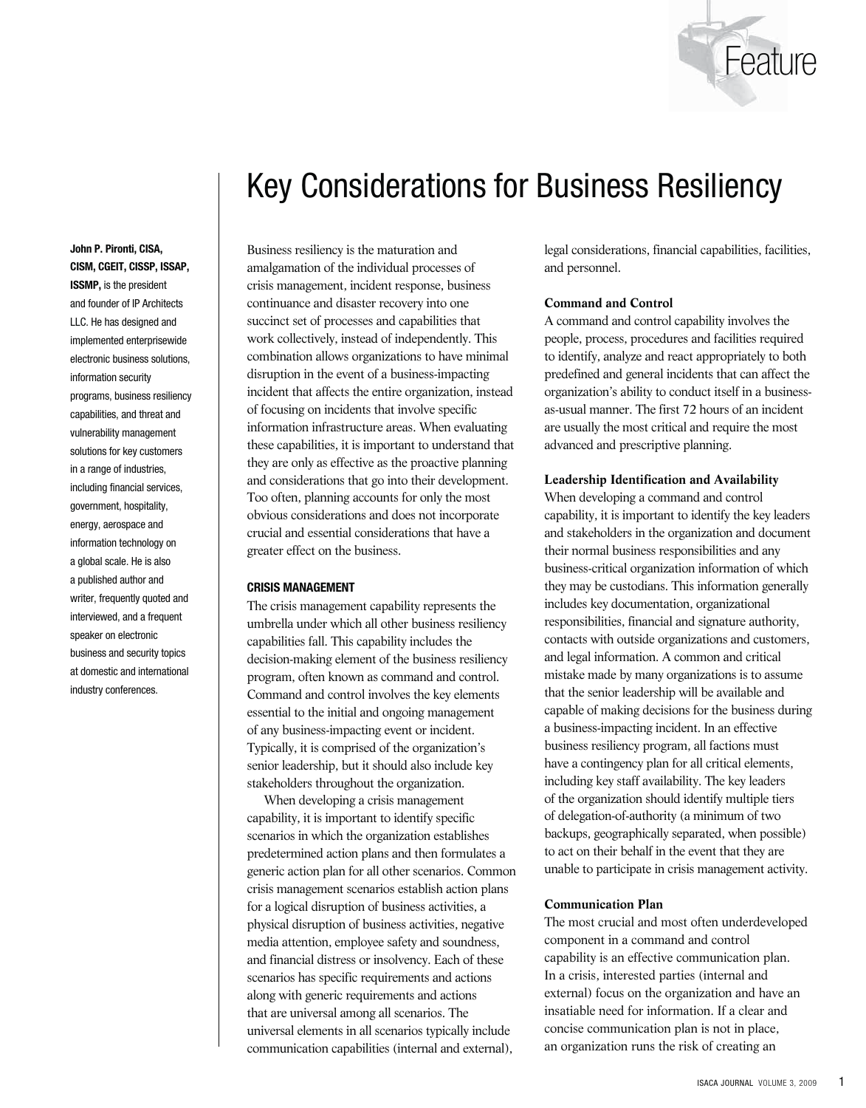

# Key Considerations for Business Resiliency

**John P. Pironti, CISA, CISM, CGEIT, CISSP, ISSAP, ISSMP,** is the president and founder of IP Architects LLC. He has designed and implemented enterprisewide electronic business solutions, information security programs, business resiliency capabilities, and threat and vulnerability management solutions for key customers in a range of industries, including financial services, government, hospitality, energy, aerospace and information technology on a global scale. He is also a published author and writer, frequently quoted and interviewed, and a frequent speaker on electronic business and security topics at domestic and international industry conferences.

Business resiliency is the maturation and amalgamation of the individual processes of crisis management, incident response, business continuance and disaster recovery into one succinct set of processes and capabilities that work collectively, instead of independently. This combination allows organizations to have minimal disruption in the event of a business-impacting incident that affects the entire organization, instead of focusing on incidents that involve specific information infrastructure areas. When evaluating these capabilities, it is important to understand that they are only as effective as the proactive planning and considerations that go into their development. Too often, planning accounts for only the most obvious considerations and does not incorporate crucial and essential considerations that have a greater effect on the business.

#### **CRISIS MANAGEMENT**

The crisis management capability represents the umbrella under which all other business resiliency capabilities fall. This capability includes the decision-making element of the business resiliency program, often known as command and control. Command and control involves the key elements essential to the initial and ongoing management of any business-impacting event or incident. Typically, it is comprised of the organization's senior leadership, but it should also include key stakeholders throughout the organization.

When developing a crisis management capability, it is important to identify specific scenarios in which the organization establishes predetermined action plans and then formulates a generic action plan for all other scenarios. Common crisis management scenarios establish action plans for a logical disruption of business activities, a physical disruption of business activities, negative media attention, employee safety and soundness, and financial distress or insolvency. Each of these scenarios has specific requirements and actions along with generic requirements and actions that are universal among all scenarios. The universal elements in all scenarios typically include communication capabilities (internal and external),

legal considerations, financial capabilities, facilities, and personnel.

## **Command and Control**

A command and control capability involves the people, process, procedures and facilities required to identify, analyze and react appropriately to both predefined and general incidents that can affect the organization's ability to conduct itself in a businessas-usual manner. The first 72 hours of an incident are usually the most critical and require the most advanced and prescriptive planning.

## **Leadership Identification and Availability**

When developing a command and control capability, it is important to identify the key leaders and stakeholders in the organization and document their normal business responsibilities and any business-critical organization information of which they may be custodians. This information generally includes key documentation, organizational responsibilities, financial and signature authority, contacts with outside organizations and customers, and legal information. A common and critical mistake made by many organizations is to assume that the senior leadership will be available and capable of making decisions for the business during a business-impacting incident. In an effective business resiliency program, all factions must have a contingency plan for all critical elements, including key staff availability. The key leaders of the organization should identify multiple tiers of delegation-of-authority (a minimum of two backups, geographically separated, when possible) to act on their behalf in the event that they are unable to participate in crisis management activity.

# **Communication Plan**

The most crucial and most often underdeveloped component in a command and control capability is an effective communication plan. In a crisis, interested parties (internal and external) focus on the organization and have an insatiable need for information. If a clear and concise communication plan is not in place, an organization runs the risk of creating an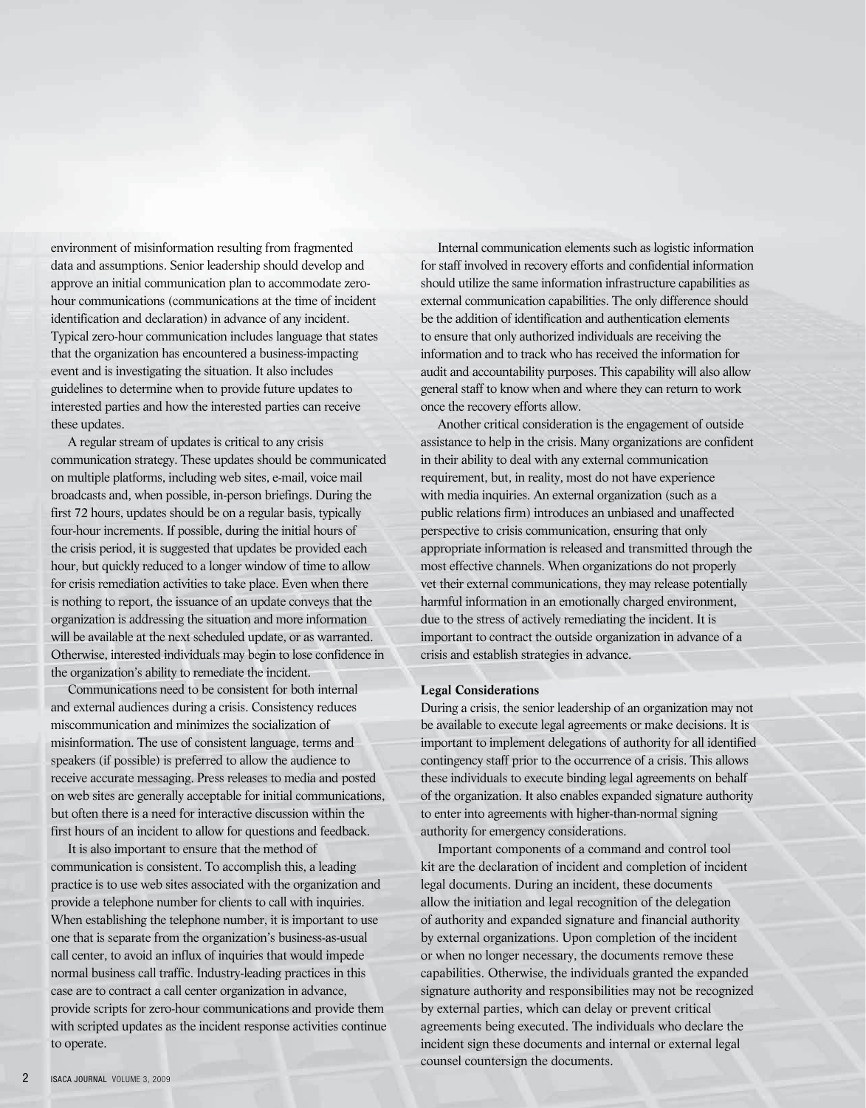environment of misinformation resulting from fragmented data and assumptions. Senior leadership should develop and approve an initial communication plan to accommodate zerohour communications (communications at the time of incident identification and declaration) in advance of any incident. Typical zero-hour communication includes language that states that the organization has encountered a business-impacting event and is investigating the situation. It also includes guidelines to determine when to provide future updates to interested parties and how the interested parties can receive these updates.

A regular stream of updates is critical to any crisis communication strategy. These updates should be communicated on multiple platforms, including web sites, e-mail, voice mail broadcasts and, when possible, in-person briefings. During the first 72 hours, updates should be on a regular basis, typically four-hour increments. If possible, during the initial hours of the crisis period, it is suggested that updates be provided each hour, but quickly reduced to a longer window of time to allow for crisis remediation activities to take place. Even when there is nothing to report, the issuance of an update conveys that the organization is addressing the situation and more information will be available at the next scheduled update, or as warranted. Otherwise, interested individuals may begin to lose confidence in the organization's ability to remediate the incident.

Communications need to be consistent for both internal and external audiences during a crisis. Consistency reduces miscommunication and minimizes the socialization of misinformation. The use of consistent language, terms and speakers (if possible) is preferred to allow the audience to receive accurate messaging. Press releases to media and posted on web sites are generally acceptable for initial communications, but often there is a need for interactive discussion within the first hours of an incident to allow for questions and feedback.

It is also important to ensure that the method of communication is consistent. To accomplish this, a leading practice is to use web sites associated with the organization and provide a telephone number for clients to call with inquiries. When establishing the telephone number, it is important to use one that is separate from the organization's business-as-usual call center, to avoid an influx of inquiries that would impede normal business call traffic. Industry-leading practices in this case are to contract a call center organization in advance, provide scripts for zero-hour communications and provide them with scripted updates as the incident response activities continue to operate.

Internal communication elements such as logistic information for staff involved in recovery efforts and confidential information should utilize the same information infrastructure capabilities as external communication capabilities. The only difference should be the addition of identification and authentication elements to ensure that only authorized individuals are receiving the information and to track who has received the information for audit and accountability purposes. This capability will also allow general staff to know when and where they can return to work once the recovery efforts allow.

Another critical consideration is the engagement of outside assistance to help in the crisis. Many organizations are confident in their ability to deal with any external communication requirement, but, in reality, most do not have experience with media inquiries. An external organization (such as a public relations firm) introduces an unbiased and unaffected perspective to crisis communication, ensuring that only appropriate information is released and transmitted through the most effective channels. When organizations do not properly vet their external communications, they may release potentially harmful information in an emotionally charged environment, due to the stress of actively remediating the incident. It is important to contract the outside organization in advance of a crisis and establish strategies in advance.

# **Legal Considerations**

During a crisis, the senior leadership of an organization may not be available to execute legal agreements or make decisions. It is important to implement delegations of authority for all identified contingency staff prior to the occurrence of a crisis. This allows these individuals to execute binding legal agreements on behalf of the organization. It also enables expanded signature authority to enter into agreements with higher-than-normal signing authority for emergency considerations.

Important components of a command and control tool kit are the declaration of incident and completion of incident legal documents. During an incident, these documents allow the initiation and legal recognition of the delegation of authority and expanded signature and financial authority by external organizations. Upon completion of the incident or when no longer necessary, the documents remove these capabilities. Otherwise, the individuals granted the expanded signature authority and responsibilities may not be recognized by external parties, which can delay or prevent critical agreements being executed. The individuals who declare the incident sign these documents and internal or external legal counsel countersign the documents.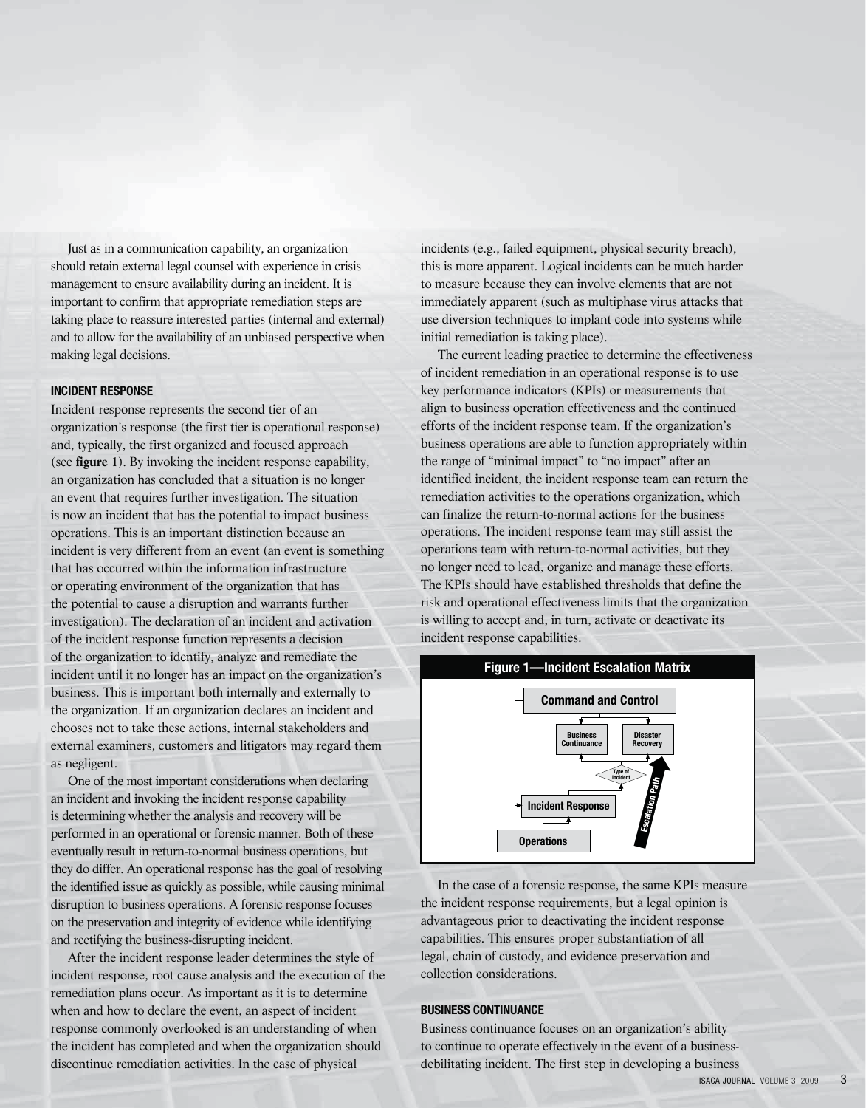Just as in a communication capability, an organization should retain external legal counsel with experience in crisis management to ensure availability during an incident. It is important to confirm that appropriate remediation steps are taking place to reassure interested parties (internal and external) and to allow for the availability of an unbiased perspective when making legal decisions.

# **INCIDENT RESPONSE**

Incident response represents the second tier of an organization's response (the first tier is operational response) and, typically, the first organized and focused approach (see **figure 1**). By invoking the incident response capability, an organization has concluded that a situation is no longer an event that requires further investigation. The situation is now an incident that has the potential to impact business operations. This is an important distinction because an incident is very different from an event (an event is something that has occurred within the information infrastructure or operating environment of the organization that has the potential to cause a disruption and warrants further investigation). The declaration of an incident and activation of the incident response function represents a decision of the organization to identify, analyze and remediate the incident until it no longer has an impact on the organization's business. This is important both internally and externally to the organization. If an organization declares an incident and chooses not to take these actions, internal stakeholders and external examiners, customers and litigators may regard them as negligent.

One of the most important considerations when declaring an incident and invoking the incident response capability is determining whether the analysis and recovery will be performed in an operational or forensic manner. Both of these eventually result in return-to-normal business operations, but they do differ. An operational response has the goal of resolving the identified issue as quickly as possible, while causing minimal disruption to business operations. A forensic response focuses on the preservation and integrity of evidence while identifying and rectifying the business-disrupting incident.

After the incident response leader determines the style of incident response, root cause analysis and the execution of the remediation plans occur. As important as it is to determine when and how to declare the event, an aspect of incident response commonly overlooked is an understanding of when the incident has completed and when the organization should discontinue remediation activities. In the case of physical

incidents (e.g., failed equipment, physical security breach), this is more apparent. Logical incidents can be much harder to measure because they can involve elements that are not immediately apparent (such as multiphase virus attacks that use diversion techniques to implant code into systems while initial remediation is taking place).

The current leading practice to determine the effectiveness of incident remediation in an operational response is to use key performance indicators (KPIs) or measurements that align to business operation effectiveness and the continued efforts of the incident response team. If the organization's business operations are able to function appropriately within the range of "minimal impact" to "no impact" after an identified incident, the incident response team can return the remediation activities to the operations organization, which can finalize the return-to-normal actions for the business operations. The incident response team may still assist the operations team with return-to-normal activities, but they no longer need to lead, organize and manage these efforts. The KPIs should have established thresholds that define the risk and operational effectiveness limits that the organization is willing to accept and, in turn, activate or deactivate its incident response capabilities.



In the case of a forensic response, the same KPIs measure the incident response requirements, but a legal opinion is advantageous prior to deactivating the incident response capabilities. This ensures proper substantiation of all legal, chain of custody, and evidence preservation and collection considerations.

# **BUSINESS CONTINUANCE**

Business continuance focuses on an organization's ability to continue to operate effectively in the event of a businessdebilitating incident. The first step in developing a business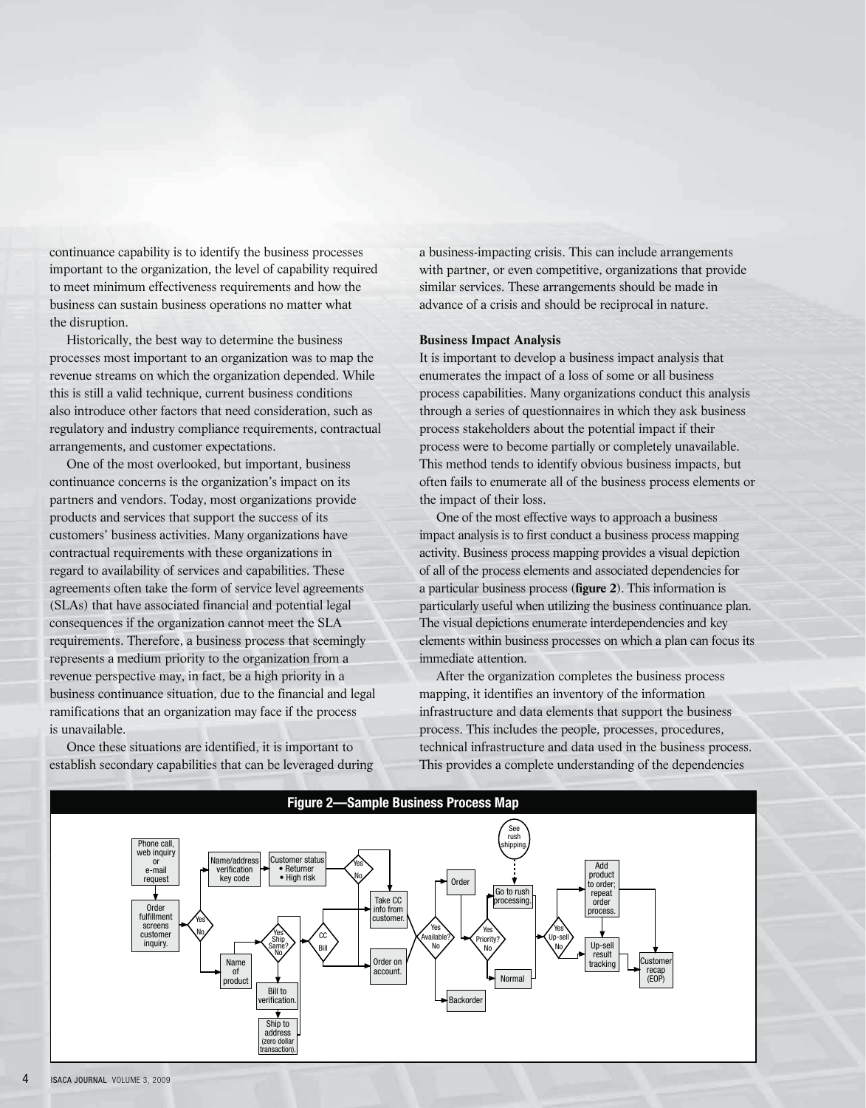continuance capability is to identify the business processes important to the organization, the level of capability required to meet minimum effectiveness requirements and how the business can sustain business operations no matter what the disruption.

Historically, the best way to determine the business processes most important to an organization was to map the revenue streams on which the organization depended. While this is still a valid technique, current business conditions also introduce other factors that need consideration, such as regulatory and industry compliance requirements, contractual arrangements, and customer expectations.

One of the most overlooked, but important, business continuance concerns is the organization's impact on its partners and vendors. Today, most organizations provide products and services that support the success of its customers' business activities. Many organizations have contractual requirements with these organizations in regard to availability of services and capabilities. These agreements often take the form of service level agreements (SLAs) that have associated financial and potential legal consequences if the organization cannot meet the SLA requirements. Therefore, a business process that seemingly represents a medium priority to the organization from a revenue perspective may, in fact, be a high priority in a business continuance situation, due to the financial and legal ramifications that an organization may face if the process is unavailable.

Once these situations are identified, it is important to establish secondary capabilities that can be leveraged during a business-impacting crisis. This can include arrangements with partner, or even competitive, organizations that provide similar services. These arrangements should be made in advance of a crisis and should be reciprocal in nature.

# **Business Impact Analysis**

It is important to develop a business impact analysis that enumerates the impact of a loss of some or all business process capabilities. Many organizations conduct this analysis through a series of questionnaires in which they ask business process stakeholders about the potential impact if their process were to become partially or completely unavailable. This method tends to identify obvious business impacts, but often fails to enumerate all of the business process elements or the impact of their loss.

One of the most effective ways to approach a business impact analysis is to first conduct a business process mapping activity. Business process mapping provides a visual depiction of all of the process elements and associated dependencies for a particular business process (**figure 2**). This information is particularly useful when utilizing the business continuance plan. The visual depictions enumerate interdependencies and key elements within business processes on which a plan can focus its immediate attention.

After the organization completes the business process mapping, it identifies an inventory of the information infrastructure and data elements that support the business process. This includes the people, processes, procedures, technical infrastructure and data used in the business process. This provides a complete understanding of the dependencies

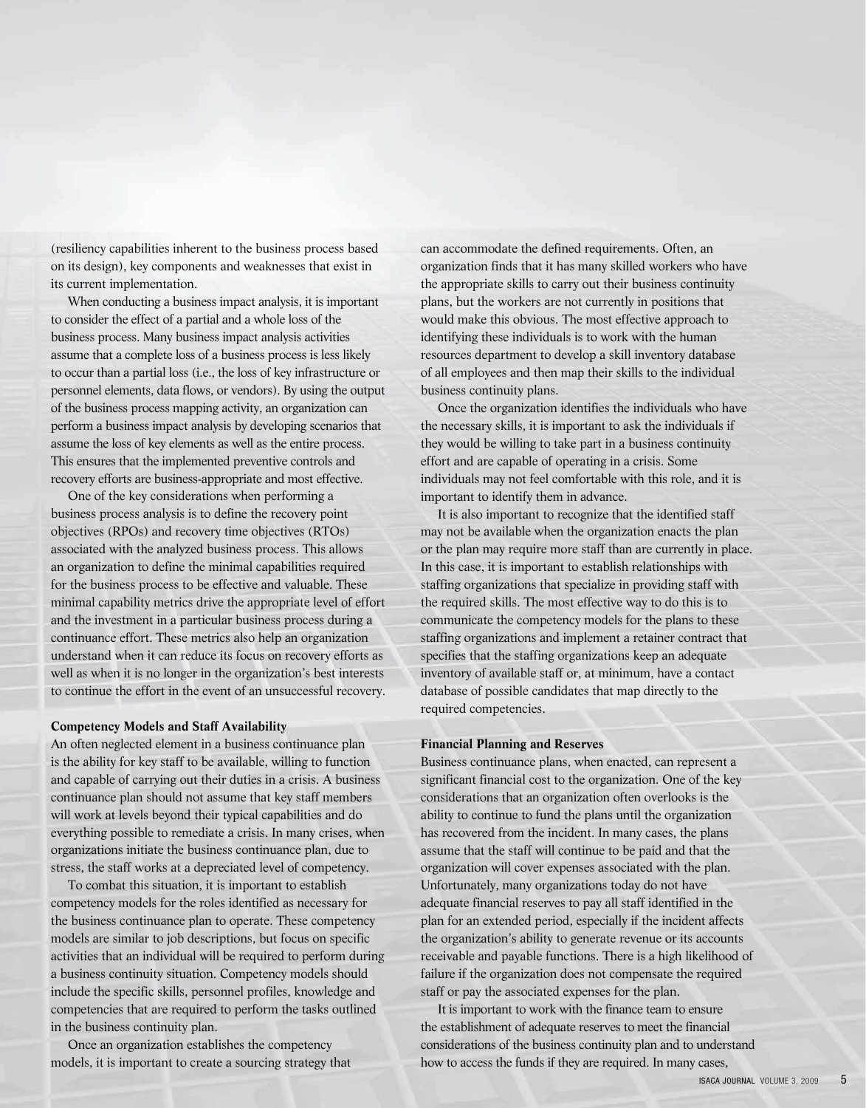(resiliency capabilities inherent to the business process based on its design), key components and weaknesses that exist in its current implementation.

When conducting a business impact analysis, it is important to consider the effect of a partial and a whole loss of the business process. Many business impact analysis activities assume that a complete loss of a business process is less likely to occur than a partial loss (i.e., the loss of key infrastructure or personnel elements, data flows, or vendors). By using the output of the business process mapping activity, an organization can perform a business impact analysis by developing scenarios that assume the loss of key elements as well as the entire process. This ensures that the implemented preventive controls and recovery efforts are business-appropriate and most effective.

One of the key considerations when performing a business process analysis is to define the recovery point objectives (RPOs) and recovery time objectives (RTOs) associated with the analyzed business process. This allows an organization to define the minimal capabilities required for the business process to be effective and valuable. These minimal capability metrics drive the appropriate level of effort and the investment in a particular business process during a continuance effort. These metrics also help an organization understand when it can reduce its focus on recovery efforts as well as when it is no longer in the organization's best interests to continue the effort in the event of an unsuccessful recovery.

#### **Competency Models and Staff Availability**

An often neglected element in a business continuance plan is the ability for key staff to be available, willing to function and capable of carrying out their duties in a crisis. A business continuance plan should not assume that key staff members will work at levels beyond their typical capabilities and do everything possible to remediate a crisis. In many crises, when organizations initiate the business continuance plan, due to stress, the staff works at a depreciated level of competency.

To combat this situation, it is important to establish competency models for the roles identified as necessary for the business continuance plan to operate. These competency models are similar to job descriptions, but focus on specific activities that an individual will be required to perform during a business continuity situation. Competency models should include the specific skills, personnel profiles, knowledge and competencies that are required to perform the tasks outlined in the business continuity plan.

Once an organization establishes the competency models, it is important to create a sourcing strategy that can accommodate the defined requirements. Often, an organization finds that it has many skilled workers who have the appropriate skills to carry out their business continuity plans, but the workers are not currently in positions that would make this obvious. The most effective approach to identifying these individuals is to work with the human resources department to develop a skill inventory database of all employees and then map their skills to the individual business continuity plans.

Once the organization identifies the individuals who have the necessary skills, it is important to ask the individuals if they would be willing to take part in a business continuity effort and are capable of operating in a crisis. Some individuals may not feel comfortable with this role, and it is important to identify them in advance.

It is also important to recognize that the identified staff may not be available when the organization enacts the plan or the plan may require more staff than are currently in place. In this case, it is important to establish relationships with staffing organizations that specialize in providing staff with the required skills. The most effective way to do this is to communicate the competency models for the plans to these staffing organizations and implement a retainer contract that specifies that the staffing organizations keep an adequate inventory of available staff or, at minimum, have a contact database of possible candidates that map directly to the required competencies.

#### **Financial Planning and Reserves**

Business continuance plans, when enacted, can represent a significant financial cost to the organization. One of the key considerations that an organization often overlooks is the ability to continue to fund the plans until the organization has recovered from the incident. In many cases, the plans assume that the staff will continue to be paid and that the organization will cover expenses associated with the plan. Unfortunately, many organizations today do not have adequate financial reserves to pay all staff identified in the plan for an extended period, especially if the incident affects the organization's ability to generate revenue or its accounts receivable and payable functions. There is a high likelihood of failure if the organization does not compensate the required staff or pay the associated expenses for the plan.

It is important to work with the finance team to ensure the establishment of adequate reserves to meet the financial considerations of the business continuity plan and to understand how to access the funds if they are required. In many cases,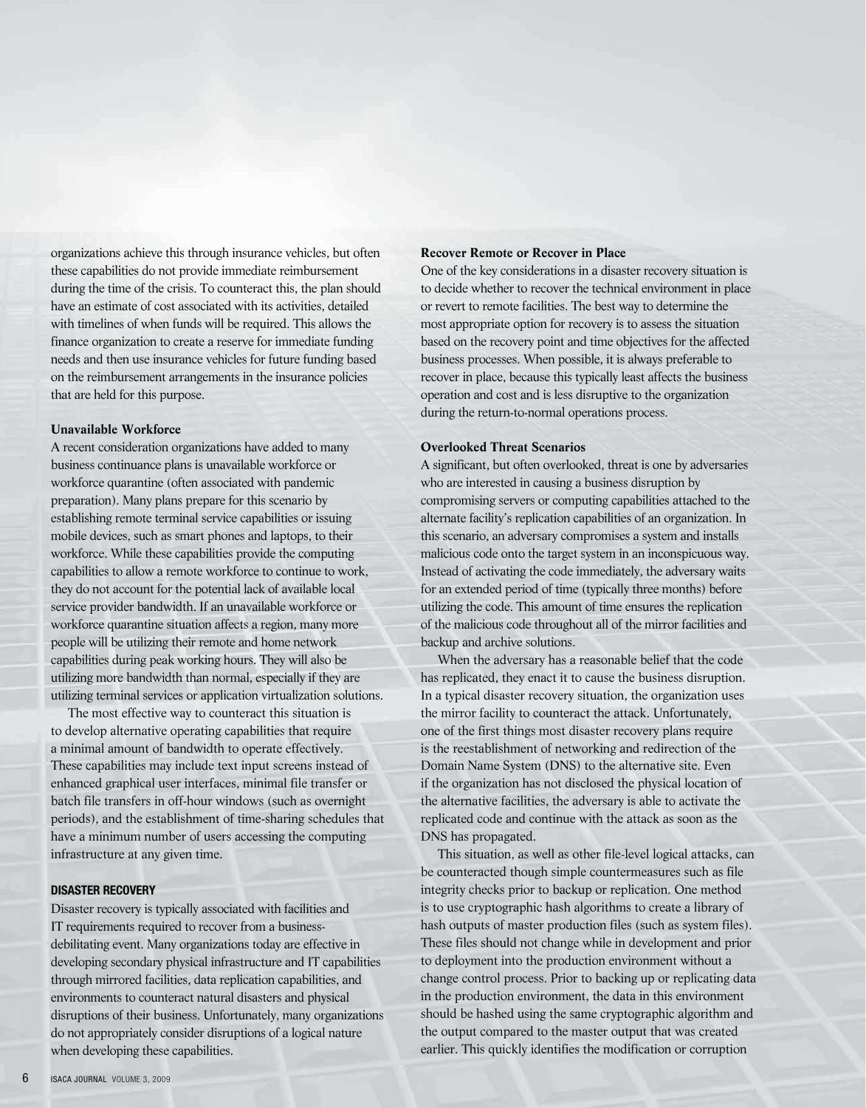organizations achieve this through insurance vehicles, but often these capabilities do not provide immediate reimbursement during the time of the crisis. To counteract this, the plan should have an estimate of cost associated with its activities, detailed with timelines of when funds will be required. This allows the finance organization to create a reserve for immediate funding needs and then use insurance vehicles for future funding based on the reimbursement arrangements in the insurance policies that are held for this purpose.

# **Unavailable Workforce**

A recent consideration organizations have added to many business continuance plans is unavailable workforce or workforce quarantine (often associated with pandemic preparation). Many plans prepare for this scenario by establishing remote terminal service capabilities or issuing mobile devices, such as smart phones and laptops, to their workforce. While these capabilities provide the computing capabilities to allow a remote workforce to continue to work, they do not account for the potential lack of available local service provider bandwidth. If an unavailable workforce or workforce quarantine situation affects a region, many more people will be utilizing their remote and home network capabilities during peak working hours. They will also be utilizing more bandwidth than normal, especially if they are utilizing terminal services or application virtualization solutions.

The most effective way to counteract this situation is to develop alternative operating capabilities that require a minimal amount of bandwidth to operate effectively. These capabilities may include text input screens instead of enhanced graphical user interfaces, minimal file transfer or batch file transfers in off-hour windows (such as overnight periods), and the establishment of time-sharing schedules that have a minimum number of users accessing the computing infrastructure at any given time.

#### **DISASTER RECOVERY**

Disaster recovery is typically associated with facilities and IT requirements required to recover from a businessdebilitating event. Many organizations today are effective in developing secondary physical infrastructure and IT capabilities through mirrored facilities, data replication capabilities, and environments to counteract natural disasters and physical disruptions of their business. Unfortunately, many organizations do not appropriately consider disruptions of a logical nature when developing these capabilities.

## **Recover Remote or Recover in Place**

One of the key considerations in a disaster recovery situation is to decide whether to recover the technical environment in place or revert to remote facilities. The best way to determine the most appropriate option for recovery is to assess the situation based on the recovery point and time objectives for the affected business processes. When possible, it is always preferable to recover in place, because this typically least affects the business operation and cost and is less disruptive to the organization during the return-to-normal operations process.

# **Overlooked Threat Scenarios**

A significant, but often overlooked, threat is one by adversaries who are interested in causing a business disruption by compromising servers or computing capabilities attached to the alternate facility's replication capabilities of an organization. In this scenario, an adversary compromises a system and installs malicious code onto the target system in an inconspicuous way. Instead of activating the code immediately, the adversary waits for an extended period of time (typically three months) before utilizing the code. This amount of time ensures the replication of the malicious code throughout all of the mirror facilities and backup and archive solutions.

When the adversary has a reasonable belief that the code has replicated, they enact it to cause the business disruption. In a typical disaster recovery situation, the organization uses the mirror facility to counteract the attack. Unfortunately, one of the first things most disaster recovery plans require is the reestablishment of networking and redirection of the Domain Name System (DNS) to the alternative site. Even if the organization has not disclosed the physical location of the alternative facilities, the adversary is able to activate the replicated code and continue with the attack as soon as the DNS has propagated.

This situation, as well as other file-level logical attacks, can be counteracted though simple countermeasures such as file integrity checks prior to backup or replication. One method is to use cryptographic hash algorithms to create a library of hash outputs of master production files (such as system files). These files should not change while in development and prior to deployment into the production environment without a change control process. Prior to backing up or replicating data in the production environment, the data in this environment should be hashed using the same cryptographic algorithm and the output compared to the master output that was created earlier. This quickly identifies the modification or corruption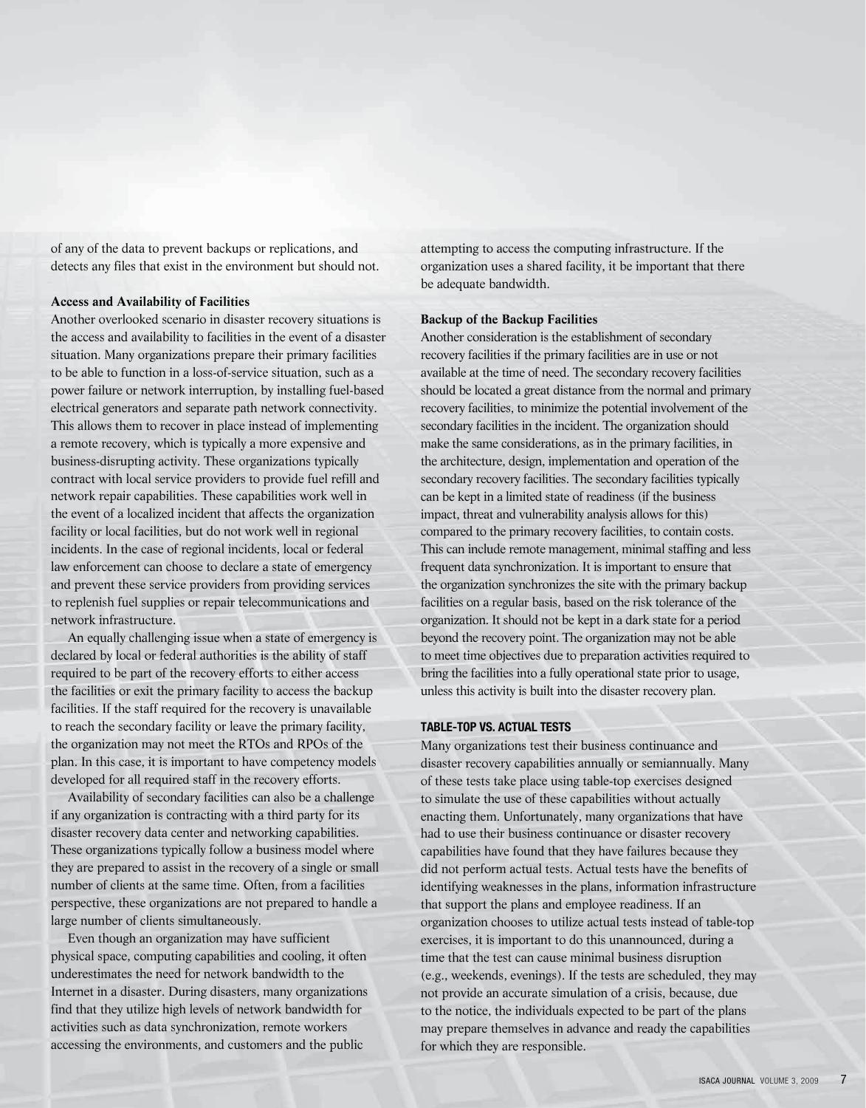of any of the data to prevent backups or replications, and detects any files that exist in the environment but should not.

## **Access and Availability of Facilities**

Another overlooked scenario in disaster recovery situations is the access and availability to facilities in the event of a disaster situation. Many organizations prepare their primary facilities to be able to function in a loss-of-service situation, such as a power failure or network interruption, by installing fuel-based electrical generators and separate path network connectivity. This allows them to recover in place instead of implementing a remote recovery, which is typically a more expensive and business-disrupting activity. These organizations typically contract with local service providers to provide fuel refill and network repair capabilities. These capabilities work well in the event of a localized incident that affects the organization facility or local facilities, but do not work well in regional incidents. In the case of regional incidents, local or federal law enforcement can choose to declare a state of emergency and prevent these service providers from providing services to replenish fuel supplies or repair telecommunications and network infrastructure.

An equally challenging issue when a state of emergency is declared by local or federal authorities is the ability of staff required to be part of the recovery efforts to either access the facilities or exit the primary facility to access the backup facilities. If the staff required for the recovery is unavailable to reach the secondary facility or leave the primary facility, the organization may not meet the RTOs and RPOs of the plan. In this case, it is important to have competency models developed for all required staff in the recovery efforts.

Availability of secondary facilities can also be a challenge if any organization is contracting with a third party for its disaster recovery data center and networking capabilities. These organizations typically follow a business model where they are prepared to assist in the recovery of a single or small number of clients at the same time. Often, from a facilities perspective, these organizations are not prepared to handle a large number of clients simultaneously.

Even though an organization may have sufficient physical space, computing capabilities and cooling, it often underestimates the need for network bandwidth to the Internet in a disaster. During disasters, many organizations find that they utilize high levels of network bandwidth for activities such as data synchronization, remote workers accessing the environments, and customers and the public

attempting to access the computing infrastructure. If the organization uses a shared facility, it be important that there be adequate bandwidth.

# **Backup of the Backup Facilities**

Another consideration is the establishment of secondary recovery facilities if the primary facilities are in use or not available at the time of need. The secondary recovery facilities should be located a great distance from the normal and primary recovery facilities, to minimize the potential involvement of the secondary facilities in the incident. The organization should make the same considerations, as in the primary facilities, in the architecture, design, implementation and operation of the secondary recovery facilities. The secondary facilities typically can be kept in a limited state of readiness (if the business impact, threat and vulnerability analysis allows for this) compared to the primary recovery facilities, to contain costs. This can include remote management, minimal staffing and less frequent data synchronization. It is important to ensure that the organization synchronizes the site with the primary backup facilities on a regular basis, based on the risk tolerance of the organization. It should not be kept in a dark state for a period beyond the recovery point. The organization may not be able to meet time objectives due to preparation activities required to bring the facilities into a fully operational state prior to usage, unless this activity is built into the disaster recovery plan.

# **TABLE-TOP VS. ACTUAL TESTS**

Many organizations test their business continuance and disaster recovery capabilities annually or semiannually. Many of these tests take place using table-top exercises designed to simulate the use of these capabilities without actually enacting them. Unfortunately, many organizations that have had to use their business continuance or disaster recovery capabilities have found that they have failures because they did not perform actual tests. Actual tests have the benefits of identifying weaknesses in the plans, information infrastructure that support the plans and employee readiness. If an organization chooses to utilize actual tests instead of table-top exercises, it is important to do this unannounced, during a time that the test can cause minimal business disruption (e.g., weekends, evenings). If the tests are scheduled, they may not provide an accurate simulation of a crisis, because, due to the notice, the individuals expected to be part of the plans may prepare themselves in advance and ready the capabilities for which they are responsible.